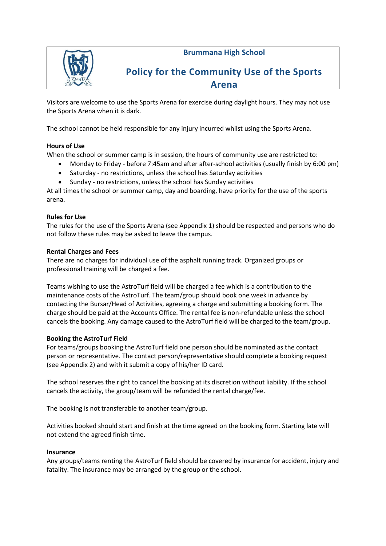**Brummana High School**



## **Policy for the Community Use of the Sports Arena**

Visitors are welcome to use the Sports Arena for exercise during daylight hours. They may not use the Sports Arena when it is dark.

The school cannot be held responsible for any injury incurred whilst using the Sports Arena.

## **Hours of Use**

When the school or summer camp is in session, the hours of community use are restricted to:

- Monday to Friday before 7:45am and after after-school activities (usually finish by 6:00 pm)
- Saturday no restrictions, unless the school has Saturday activities
- Sunday no restrictions, unless the school has Sunday activities

At all times the school or summer camp, day and boarding, have priority for the use of the sports arena.

## **Rules for Use**

The rules for the use of the Sports Arena (see Appendix 1) should be respected and persons who do not follow these rules may be asked to leave the campus.

## **Rental Charges and Fees**

There are no charges for individual use of the asphalt running track. Organized groups or professional training will be charged a fee.

Teams wishing to use the AstroTurf field will be charged a fee which is a contribution to the maintenance costs of the AstroTurf. The team/group should book one week in advance by contacting the Bursar/Head of Activities, agreeing a charge and submitting a booking form. The charge should be paid at the Accounts Office. The rental fee is non-refundable unless the school cancels the booking. Any damage caused to the AstroTurf field will be charged to the team/group.

## **Booking the AstroTurf Field**

For teams/groups booking the AstroTurf field one person should be nominated as the contact person or representative. The contact person/representative should complete a booking request (see Appendix 2) and with it submit a copy of his/her ID card.

The school reserves the right to cancel the booking at its discretion without liability. If the school cancels the activity, the group/team will be refunded the rental charge/fee.

The booking is not transferable to another team/group.

Activities booked should start and finish at the time agreed on the booking form. Starting late will not extend the agreed finish time.

## **Insurance**

Any groups/teams renting the AstroTurf field should be covered by insurance for accident, injury and fatality. The insurance may be arranged by the group or the school.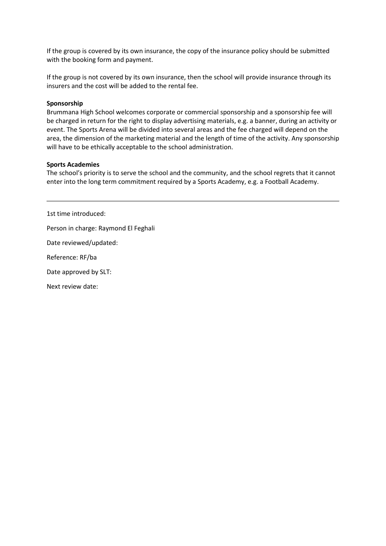If the group is covered by its own insurance, the copy of the insurance policy should be submitted with the booking form and payment.

If the group is not covered by its own insurance, then the school will provide insurance through its insurers and the cost will be added to the rental fee.

#### **Sponsorship**

Brummana High School welcomes corporate or commercial sponsorship and a sponsorship fee will be charged in return for the right to display advertising materials, e.g. a banner, during an activity or event. The Sports Arena will be divided into several areas and the fee charged will depend on the area, the dimension of the marketing material and the length of time of the activity. Any sponsorship will have to be ethically acceptable to the school administration.

#### **Sports Academies**

The school's priority is to serve the school and the community, and the school regrets that it cannot enter into the long term commitment required by a Sports Academy, e.g. a Football Academy.

1st time introduced: Person in charge: Raymond El Feghali Date reviewed/updated: Reference: RF/ba

Date approved by SLT:

Next review date: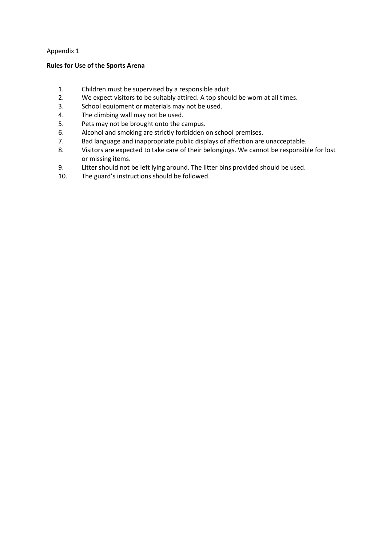### Appendix 1

#### **Rules for Use of the Sports Arena**

- 1. Children must be supervised by a responsible adult.
- 2. We expect visitors to be suitably attired. A top should be worn at all times.
- 3. School equipment or materials may not be used.
- 4. The climbing wall may not be used.
- 5. Pets may not be brought onto the campus.
- 6. Alcohol and smoking are strictly forbidden on school premises.<br>7. Bad language and inappropriate public displays of affection are
- Bad language and inappropriate public displays of affection are unacceptable.
- 8. Visitors are expected to take care of their belongings. We cannot be responsible for lost or missing items.
- 9. Litter should not be left lying around. The litter bins provided should be used.
- 10. The guard's instructions should be followed.